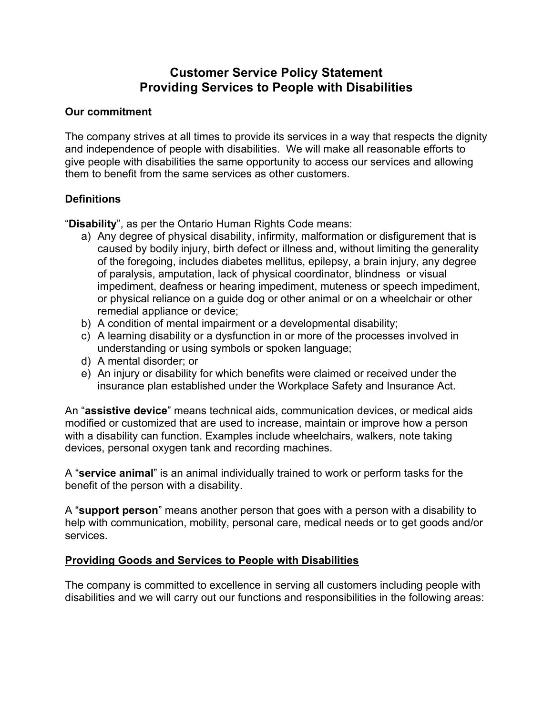# **Customer Service Policy Statement Providing Services to People with Disabilities**

#### **Our commitment**

The company strives at all times to provide its services in a way that respects the dignity and independence of people with disabilities. We will make all reasonable efforts to give people with disabilities the same opportunity to access our services and allowing them to benefit from the same services as other customers.

#### **Definitions**

"**Disability**", as per the Ontario Human Rights Code means:

- a) Any degree of physical disability, infirmity, malformation or disfigurement that is caused by bodily injury, birth defect or illness and, without limiting the generality of the foregoing, includes diabetes mellitus, epilepsy, a brain injury, any degree of paralysis, amputation, lack of physical coordinator, blindness or visual impediment, deafness or hearing impediment, muteness or speech impediment, or physical reliance on a guide dog or other animal or on a wheelchair or other remedial appliance or device;
- b) A condition of mental impairment or a developmental disability;
- c) A learning disability or a dysfunction in or more of the processes involved in understanding or using symbols or spoken language;
- d) A mental disorder; or
- e) An injury or disability for which benefits were claimed or received under the insurance plan established under the Workplace Safety and Insurance Act.

An "**assistive device**" means technical aids, communication devices, or medical aids modified or customized that are used to increase, maintain or improve how a person with a disability can function. Examples include wheelchairs, walkers, note taking devices, personal oxygen tank and recording machines.

A "**service animal**" is an animal individually trained to work or perform tasks for the benefit of the person with a disability.

A "**support person**" means another person that goes with a person with a disability to help with communication, mobility, personal care, medical needs or to get goods and/or services.

## **Providing Goods and Services to People with Disabilities**

The company is committed to excellence in serving all customers including people with disabilities and we will carry out our functions and responsibilities in the following areas: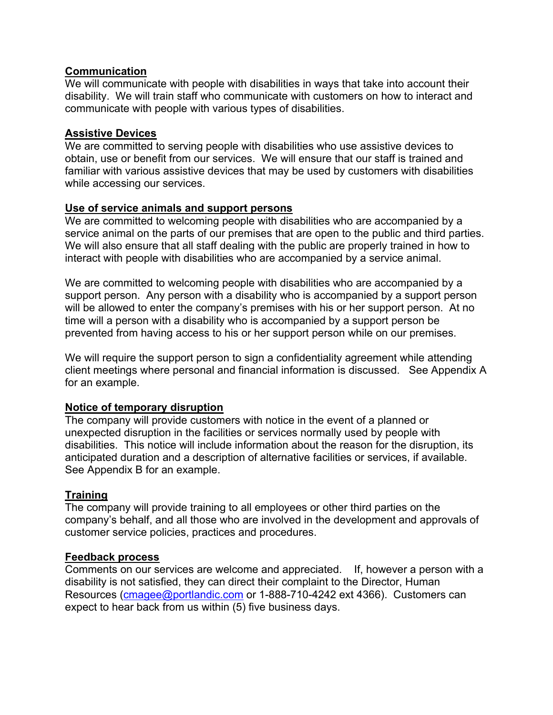#### **Communication**

We will communicate with people with disabilities in ways that take into account their disability. We will train staff who communicate with customers on how to interact and communicate with people with various types of disabilities.

#### **Assistive Devices**

We are committed to serving people with disabilities who use assistive devices to obtain, use or benefit from our services. We will ensure that our staff is trained and familiar with various assistive devices that may be used by customers with disabilities while accessing our services.

#### **Use of service animals and support persons**

We are committed to welcoming people with disabilities who are accompanied by a service animal on the parts of our premises that are open to the public and third parties. We will also ensure that all staff dealing with the public are properly trained in how to interact with people with disabilities who are accompanied by a service animal.

We are committed to welcoming people with disabilities who are accompanied by a support person. Any person with a disability who is accompanied by a support person will be allowed to enter the company's premises with his or her support person. At no time will a person with a disability who is accompanied by a support person be prevented from having access to his or her support person while on our premises.

We will require the support person to sign a confidentiality agreement while attending client meetings where personal and financial information is discussed. See Appendix A for an example.

#### **Notice of temporary disruption**

The company will provide customers with notice in the event of a planned or unexpected disruption in the facilities or services normally used by people with disabilities. This notice will include information about the reason for the disruption, its anticipated duration and a description of alternative facilities or services, if available. See Appendix B for an example.

## **Training**

The company will provide training to all employees or other third parties on the company's behalf, and all those who are involved in the development and approvals of customer service policies, practices and procedures.

#### **Feedback process**

Comments on our services are welcome and appreciated. If, however a person with a disability is not satisfied, they can direct their complaint to the Director, Human Resources (cmagee@portlandic.com or 1-888-710-4242 ext 4366). Customers can expect to hear back from us within (5) five business days.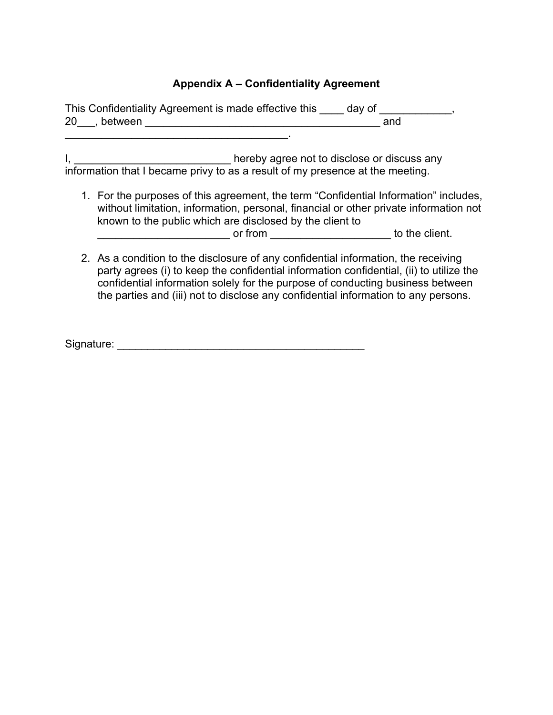# **Appendix A – Confidentiality Agreement**

| This Confidentiality Agreement is made effective this day of<br>20, between<br><u> 1980 - Jan Barbarat, manala</u><br>and                                                                                                                                                                                                                             |
|-------------------------------------------------------------------------------------------------------------------------------------------------------------------------------------------------------------------------------------------------------------------------------------------------------------------------------------------------------|
| hereby agree not to disclose or discuss any<br>information that I became privy to as a result of my presence at the meeting.                                                                                                                                                                                                                          |
| 1. For the purposes of this agreement, the term "Confidential Information" includes,<br>without limitation, information, personal, financial or other private information not<br>known to the public which are disclosed by the client to<br>or from to the client.                                                                                   |
| 2. As a condition to the disclosure of any confidential information, the receiving<br>party agrees (i) to keep the confidential information confidential, (ii) to utilize the<br>confidential information solely for the purpose of conducting business between<br>the parties and (iii) not to disclose any confidential information to any persons. |

Signature: \_\_\_\_\_\_\_\_\_\_\_\_\_\_\_\_\_\_\_\_\_\_\_\_\_\_\_\_\_\_\_\_\_\_\_\_\_\_\_\_\_